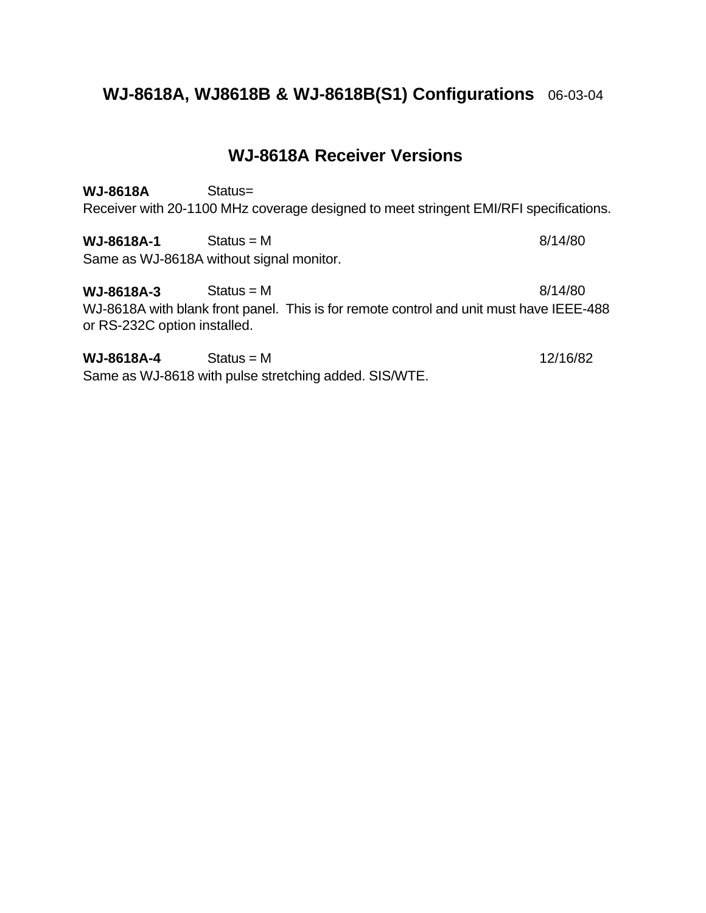# **WJ-8618A, WJ8618B & WJ-8618B(S1) Configurations** 06-03-04

# **WJ-8618A Receiver Versions**

**WJ-8618A** Status= Receiver with 20-1100 MHz coverage designed to meet stringent EMI/RFI specifications.

**WJ-8618A-1** Status = M 8/14/80 Same as WJ-8618A without signal monitor.

**WJ-8618A-3** Status = M 8/14/80 WJ-8618A with blank front panel. This is for remote control and unit must have IEEE-488 or RS-232C option installed.

**WJ-8618A-4** Status = M 12/16/82 Same as WJ-8618 with pulse stretching added. SIS/WTE.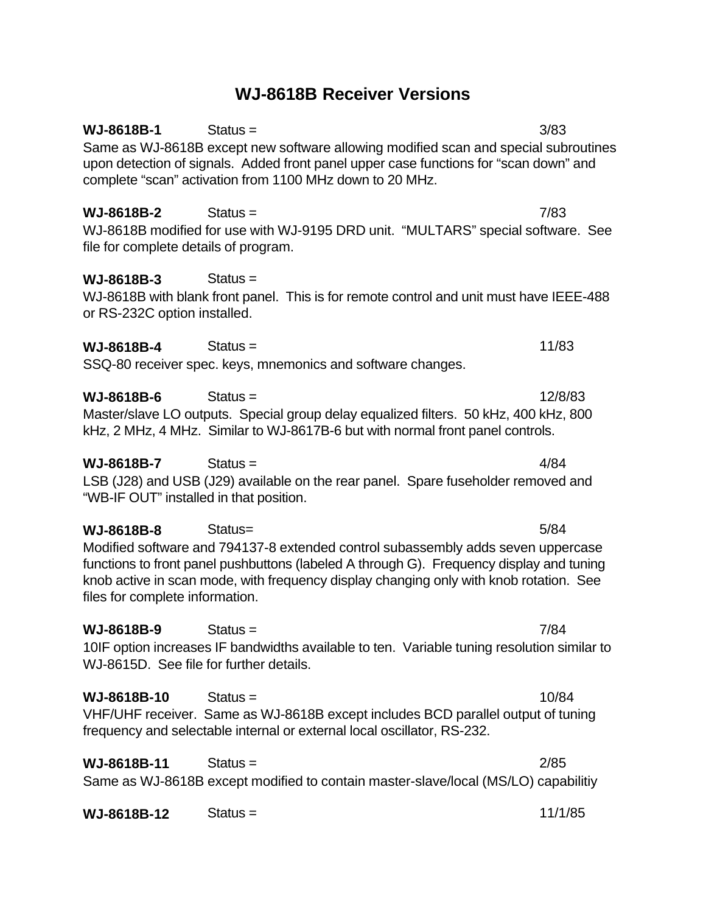# **WJ-8618B Receiver Versions**

**WJ-8618B-1** Status = 3/83 Same as WJ-8618B except new software allowing modified scan and special subroutines upon detection of signals. Added front panel upper case functions for "scan down" and complete "scan" activation from 1100 MHz down to 20 MHz. **WJ-8618B-2** Status = 7/83 WJ-8618B modified for use with WJ-9195 DRD unit. "MULTARS" special software. See file for complete details of program. **WJ-8618B-3** Status = WJ-8618B with blank front panel. This is for remote control and unit must have IEEE-488 or RS-232C option installed. **WJ-8618B-4** Status = 11/83 SSQ-80 receiver spec. keys, mnemonics and software changes. **WJ-8618B-6** Status = 12/8/83 Master/slave LO outputs. Special group delay equalized filters. 50 kHz, 400 kHz, 800 kHz, 2 MHz, 4 MHz. Similar to WJ-8617B-6 but with normal front panel controls. **WJ-8618B-7** Status = 4/84 LSB (J28) and USB (J29) available on the rear panel. Spare fuseholder removed and "WB-IF OUT" installed in that position. **WJ-8618B-8** Status= 5/84 Modified software and 794137-8 extended control subassembly adds seven uppercase functions to front panel pushbuttons (labeled A through G). Frequency display and tuning knob active in scan mode, with frequency display changing only with knob rotation. See files for complete information. **WJ-8618B-9** Status = 7/84 10IF option increases IF bandwidths available to ten. Variable tuning resolution similar to WJ-8615D. See file for further details.  $WJ-8618B-10$  Status =  $10/84$ VHF/UHF receiver. Same as WJ-8618B except includes BCD parallel output of tuning frequency and selectable internal or external local oscillator, RS-232. **WJ-8618B-11** Status = 2/85 Same as WJ-8618B except modified to contain master-slave/local (MS/LO) capabilitiy **WJ-8618B-12** Status = 11/1/85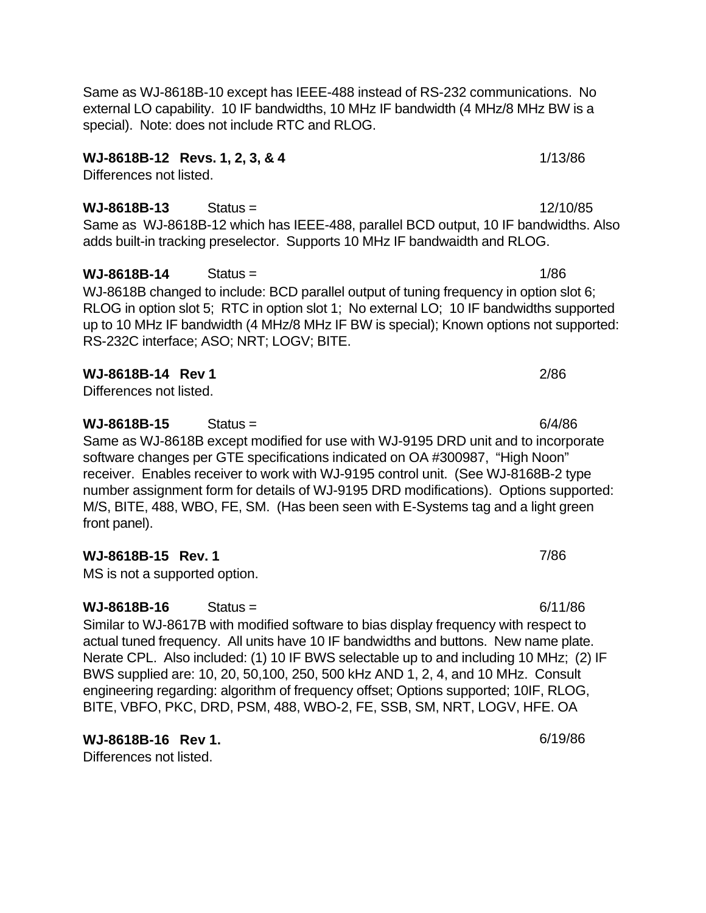Same as WJ-8618B-10 except has IEEE-488 instead of RS-232 communications. No external LO capability. 10 IF bandwidths, 10 MHz IF bandwidth (4 MHz/8 MHz BW is a special). Note: does not include RTC and RLOG.

### **WJ-8618B-12 Revs. 1, 2, 3, & 4** 1/13/86

Differences not listed.

# **WJ-8618B-13** Status = 12/10/85

Same as WJ-8618B-12 which has IEEE-488, parallel BCD output, 10 IF bandwidths. Also adds built-in tracking preselector. Supports 10 MHz IF bandwaidth and RLOG.

WJ-8618B changed to include: BCD parallel output of tuning frequency in option slot 6; RLOG in option slot 5; RTC in option slot 1; No external LO; 10 IF bandwidths supported up to 10 MHz IF bandwidth (4 MHz/8 MHz IF BW is special); Known options not supported: RS-232C interface; ASO; NRT; LOGV; BITE.

**WJ-8618B-14** Status = 1/86

### **WJ-8618B-14 Rev 1** 2/86

Differences not listed.

**WJ-8618B-15** Status = 6/4/86 Same as WJ-8618B except modified for use with WJ-9195 DRD unit and to incorporate software changes per GTE specifications indicated on OA #300987, "High Noon" receiver. Enables receiver to work with WJ-9195 control unit. (See WJ-8168B-2 type number assignment form for details of WJ-9195 DRD modifications). Options supported: M/S, BITE, 488, WBO, FE, SM. (Has been seen with E-Systems tag and a light green front panel).

## **WJ-8618B-15 Rev. 1** 7/86

MS is not a supported option.

**WJ-8618B-16** Status = 6/11/86

Similar to WJ-8617B with modified software to bias display frequency with respect to actual tuned frequency. All units have 10 IF bandwidths and buttons. New name plate. Nerate CPL. Also included: (1) 10 IF BWS selectable up to and including 10 MHz; (2) IF BWS supplied are: 10, 20, 50,100, 250, 500 kHz AND 1, 2, 4, and 10 MHz. Consult engineering regarding: algorithm of frequency offset; Options supported; 10IF, RLOG, BITE, VBFO, PKC, DRD, PSM, 488, WBO-2, FE, SSB, SM, NRT, LOGV, HFE. OA

**WJ-8618B-16** Rev 1. **6/19/86** Differences not listed.